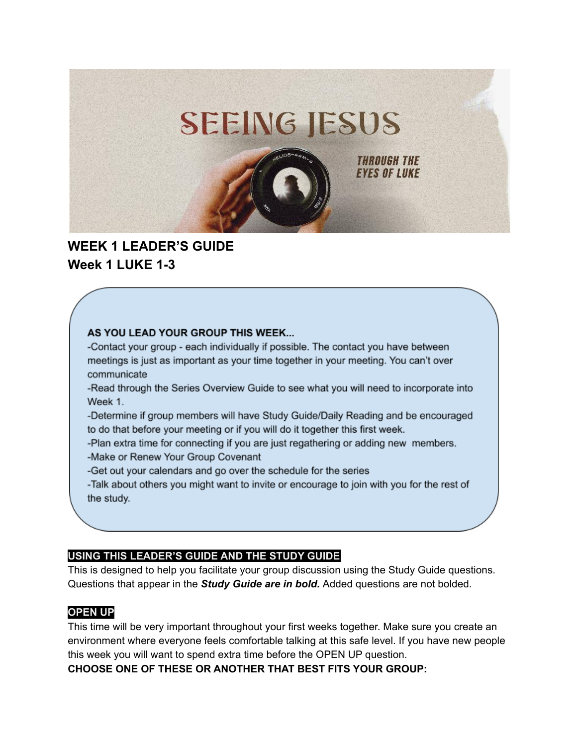

# **WEEK 1 LEADER'S GUIDE Week 1 LUKE 1-3**

#### AS YOU LEAD YOUR GROUP THIS WEEK...

-Contact your group - each individually if possible. The contact you have between meetings is just as important as your time together in your meeting. You can't over communicate

- -Read through the Series Overview Guide to see what you will need to incorporate into Week 1.
- -Determine if group members will have Study Guide/Daily Reading and be encouraged to do that before your meeting or if you will do it together this first week.
- -Plan extra time for connecting if you are just regathering or adding new members.
- -Make or Renew Your Group Covenant
- -Get out your calendars and go over the schedule for the series
- -Talk about others you might want to invite or encourage to join with you for the rest of the study.

### **USING THIS LEADER'S GUIDE AND THE STUDY GUIDE**

This is designed to help you facilitate your group discussion using the Study Guide questions. Questions that appear in the *Study Guide are in bold.* Added questions are not bolded.

### **OPEN UP**

This time will be very important throughout your first weeks together. Make sure you create an environment where everyone feels comfortable talking at this safe level. If you have new people this week you will want to spend extra time before the OPEN UP question.

**CHOOSE ONE OF THESE OR ANOTHER THAT BEST FITS YOUR GROUP:**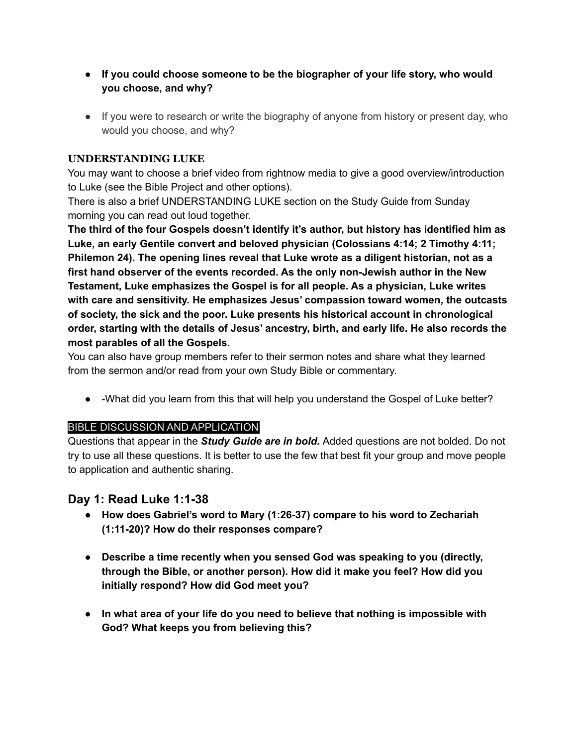- **● If you could choose someone to be the biographer of your life story, who would you choose, and why?**
- If you were to research or write the biography of anyone from history or present day, who would you choose, and why?

### **UNDERSTANDING LUKE**

You may want to choose a brief video from rightnow media to give a good overview/introduction to Luke (see the Bible Project and other options).

There is also a brief UNDERSTANDING LUKE section on the Study Guide from Sunday morning you can read out loud together.

**The third of the four Gospels doesn't identify it's author, but history has identified him as Luke, an early Gentile convert and beloved physician (Colossians 4:14; 2 Timothy 4:11; Philemon 24). The opening lines reveal that Luke wrote as a diligent historian, not as a first hand observer of the events recorded. As the only non-Jewish author in the New Testament, Luke emphasizes the Gospel is for all people. As a physician, Luke writes with care and sensitivity. He emphasizes Jesus' compassion toward women, the outcasts of society, the sick and the poor. Luke presents his historical account in chronological order, starting with the details of Jesus' ancestry, birth, and early life. He also records the most parables of all the Gospels.**

You can also have group members refer to their sermon notes and share what they learned from the sermon and/or read from your own Study Bible or commentary.

● -What did you learn from this that will help you understand the Gospel of Luke better?

### BIBLE DISCUSSION AND APPLICATION

Questions that appear in the *Study Guide are in bold.* Added questions are not bolded. Do not try to use all these questions. It is better to use the few that best fit your group and move people to application and authentic sharing.

# **Day 1: Read Luke 1:1-38**

- **● How does Gabriel's word to Mary (1:26-37) compare to his word to Zechariah (1:11-20)? How do their responses compare?**
- **● Describe a time recently when you sensed God was speaking to you (directly, through the Bible, or another person). How did it make you feel? How did you initially respond? How did God meet you?**
- **● In what area of your life do you need to believe that nothing is impossible with God? What keeps you from believing this?**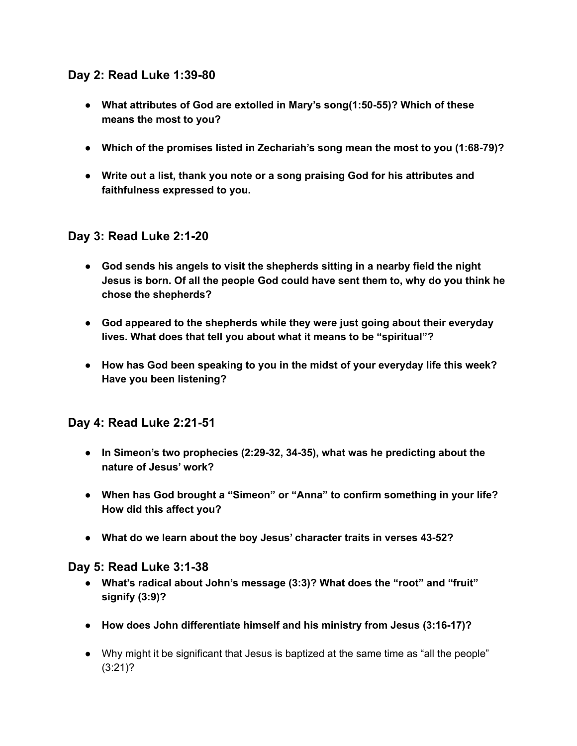# **Day 2: Read Luke 1:39-80**

- **● What attributes of God are extolled in Mary's song(1:50-55)? Which of these means the most to you?**
- **● Which of the promises listed in Zechariah's song mean the most to you (1:68-79)?**
- **● Write out a list, thank you note or a song praising God for his attributes and faithfulness expressed to you.**

# **Day 3: Read Luke 2:1-20**

- **● God sends his angels to visit the shepherds sitting in a nearby field the night Jesus is born. Of all the people God could have sent them to, why do you think he chose the shepherds?**
- **● God appeared to the shepherds while they were just going about their everyday lives. What does that tell you about what it means to be "spiritual"?**
- **● How has God been speaking to you in the midst of your everyday life this week? Have you been listening?**

### **Day 4: Read Luke 2:21-51**

- **● In Simeon's two prophecies (2:29-32, 34-35), what was he predicting about the nature of Jesus' work?**
- **● When has God brought a "Simeon" or "Anna" to confirm something in your life? How did this affect you?**
- **● What do we learn about the boy Jesus' character traits in verses 43-52?**

### **Day 5: Read Luke 3:1-38**

- **● What's radical about John's message (3:3)? What does the "root" and "fruit" signify (3:9)?**
- **● How does John differentiate himself and his ministry from Jesus (3:16-17)?**
- Why might it be significant that Jesus is baptized at the same time as "all the people" (3:21)?